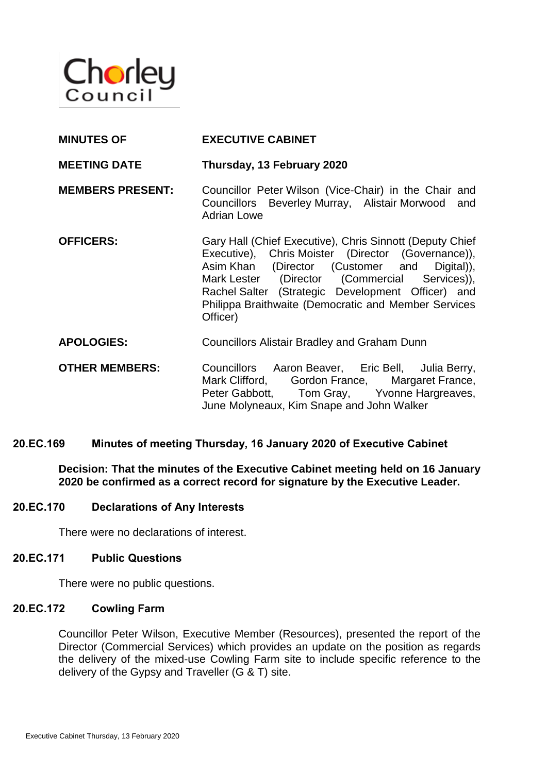

| <b>MINUTES OF</b>       | <b>EXECUTIVE CABINET</b>                                                                                                                                                                                                                                                                                                                 |
|-------------------------|------------------------------------------------------------------------------------------------------------------------------------------------------------------------------------------------------------------------------------------------------------------------------------------------------------------------------------------|
| <b>MEETING DATE</b>     | Thursday, 13 February 2020                                                                                                                                                                                                                                                                                                               |
| <b>MEMBERS PRESENT:</b> | Councillor Peter Wilson (Vice-Chair) in the Chair and<br>Councillors Beverley Murray, Alistair Morwood and<br><b>Adrian Lowe</b>                                                                                                                                                                                                         |
| <b>OFFICERS:</b>        | Gary Hall (Chief Executive), Chris Sinnott (Deputy Chief<br>Executive), Chris Moister (Director (Governance)),<br>Asim Khan (Director (Customer and Digital)),<br>Mark Lester (Director (Commercial Services)),<br>Rachel Salter (Strategic Development Officer) and<br>Philippa Braithwaite (Democratic and Member Services<br>Officer) |
| <b>APOLOGIES:</b>       | <b>Councillors Alistair Bradley and Graham Dunn</b>                                                                                                                                                                                                                                                                                      |
| <b>OTHER MEMBERS:</b>   | Councillors Aaron Beaver, Eric Bell, Julia Berry,<br>Mark Clifford, Gordon France, Margaret France,<br>Peter Gabbott, Tom Gray, Yvonne Hargreaves,<br>June Molyneaux, Kim Snape and John Walker                                                                                                                                          |

## **20.EC.169 Minutes of meeting Thursday, 16 January 2020 of Executive Cabinet**

**Decision: That the minutes of the Executive Cabinet meeting held on 16 January 2020 be confirmed as a correct record for signature by the Executive Leader.**

#### **20.EC.170 Declarations of Any Interests**

There were no declarations of interest.

#### **20.EC.171 Public Questions**

There were no public questions.

#### **20.EC.172 Cowling Farm**

Councillor Peter Wilson, Executive Member (Resources), presented the report of the Director (Commercial Services) which provides an update on the position as regards the delivery of the mixed-use Cowling Farm site to include specific reference to the delivery of the Gypsy and Traveller (G & T) site.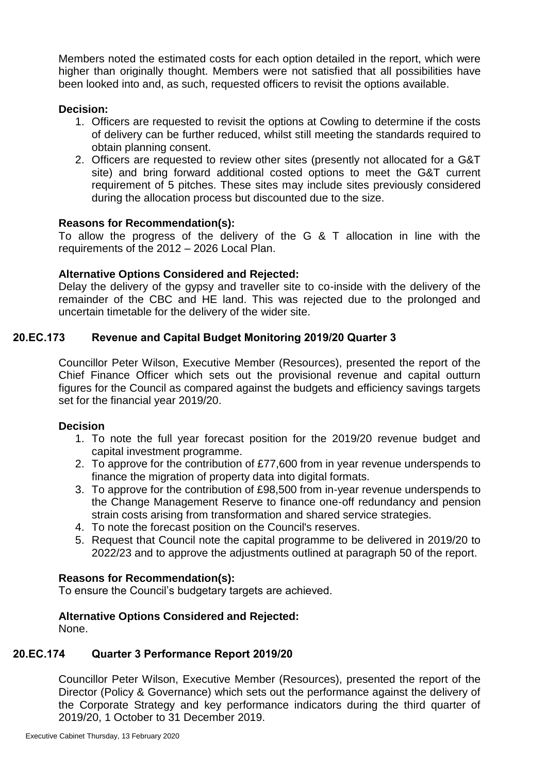Members noted the estimated costs for each option detailed in the report, which were higher than originally thought. Members were not satisfied that all possibilities have been looked into and, as such, requested officers to revisit the options available.

## **Decision:**

- 1. Officers are requested to revisit the options at Cowling to determine if the costs of delivery can be further reduced, whilst still meeting the standards required to obtain planning consent.
- 2. Officers are requested to review other sites (presently not allocated for a G&T site) and bring forward additional costed options to meet the G&T current requirement of 5 pitches. These sites may include sites previously considered during the allocation process but discounted due to the size.

## **Reasons for Recommendation(s):**

To allow the progress of the delivery of the G & T allocation in line with the requirements of the 2012 – 2026 Local Plan.

# **Alternative Options Considered and Rejected:**

Delay the delivery of the gypsy and traveller site to co-inside with the delivery of the remainder of the CBC and HE land. This was rejected due to the prolonged and uncertain timetable for the delivery of the wider site.

# **20.EC.173 Revenue and Capital Budget Monitoring 2019/20 Quarter 3**

Councillor Peter Wilson, Executive Member (Resources), presented the report of the Chief Finance Officer which sets out the provisional revenue and capital outturn figures for the Council as compared against the budgets and efficiency savings targets set for the financial year 2019/20.

## **Decision**

- 1. To note the full year forecast position for the 2019/20 revenue budget and capital investment programme.
- 2. To approve for the contribution of £77,600 from in year revenue underspends to finance the migration of property data into digital formats.
- 3. To approve for the contribution of £98,500 from in-year revenue underspends to the Change Management Reserve to finance one-off redundancy and pension strain costs arising from transformation and shared service strategies.
- 4. To note the forecast position on the Council's reserves.
- 5. Request that Council note the capital programme to be delivered in 2019/20 to 2022/23 and to approve the adjustments outlined at paragraph 50 of the report.

# **Reasons for Recommendation(s):**

To ensure the Council's budgetary targets are achieved.

# **Alternative Options Considered and Rejected:**

None.

# **20.EC.174 Quarter 3 Performance Report 2019/20**

Councillor Peter Wilson, Executive Member (Resources), presented the report of the Director (Policy & Governance) which sets out the performance against the delivery of the Corporate Strategy and key performance indicators during the third quarter of 2019/20, 1 October to 31 December 2019.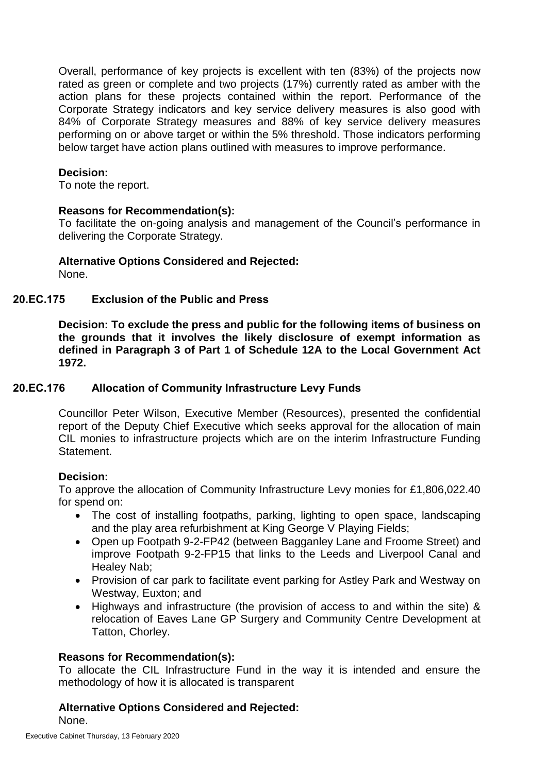Overall, performance of key projects is excellent with ten (83%) of the projects now rated as green or complete and two projects (17%) currently rated as amber with the action plans for these projects contained within the report. Performance of the Corporate Strategy indicators and key service delivery measures is also good with 84% of Corporate Strategy measures and 88% of key service delivery measures performing on or above target or within the 5% threshold. Those indicators performing below target have action plans outlined with measures to improve performance.

#### **Decision:**

To note the report.

#### **Reasons for Recommendation(s):**

To facilitate the on-going analysis and management of the Council's performance in delivering the Corporate Strategy.

**Alternative Options Considered and Rejected:**

None.

## **20.EC.175 Exclusion of the Public and Press**

**Decision: To exclude the press and public for the following items of business on the grounds that it involves the likely disclosure of exempt information as defined in Paragraph 3 of Part 1 of Schedule 12A to the Local Government Act 1972.**

## **20.EC.176 Allocation of Community Infrastructure Levy Funds**

Councillor Peter Wilson, Executive Member (Resources), presented the confidential report of the Deputy Chief Executive which seeks approval for the allocation of main CIL monies to infrastructure projects which are on the interim Infrastructure Funding Statement.

## **Decision:**

To approve the allocation of Community Infrastructure Levy monies for £1,806,022.40 for spend on:

- The cost of installing footpaths, parking, lighting to open space, landscaping and the play area refurbishment at King George V Playing Fields;
- Open up Footpath 9-2-FP42 (between Bagganley Lane and Froome Street) and improve Footpath 9-2-FP15 that links to the Leeds and Liverpool Canal and Healey Nab;
- Provision of car park to facilitate event parking for Astley Park and Westway on Westway, Euxton; and
- Highways and infrastructure (the provision of access to and within the site) & relocation of Eaves Lane GP Surgery and Community Centre Development at Tatton, Chorley.

## **Reasons for Recommendation(s):**

To allocate the CIL Infrastructure Fund in the way it is intended and ensure the methodology of how it is allocated is transparent

# **Alternative Options Considered and Rejected:**

None.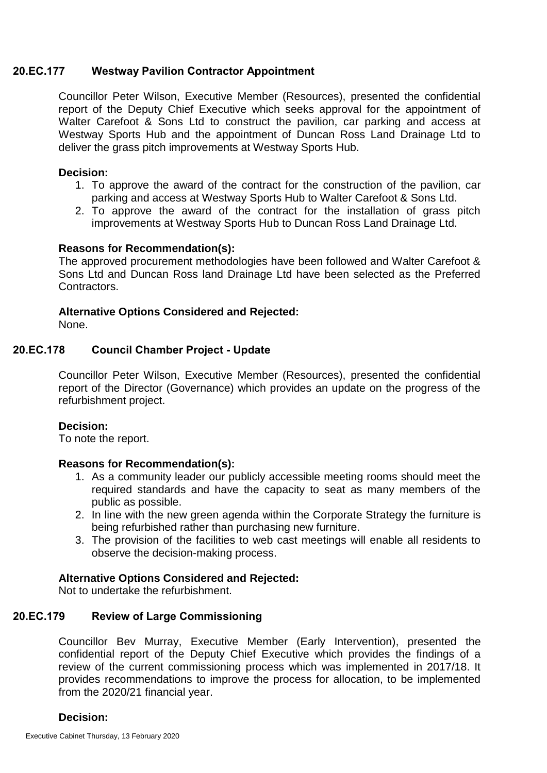#### **20.EC.177 Westway Pavilion Contractor Appointment**

Councillor Peter Wilson, Executive Member (Resources), presented the confidential report of the Deputy Chief Executive which seeks approval for the appointment of Walter Carefoot & Sons Ltd to construct the pavilion, car parking and access at Westway Sports Hub and the appointment of Duncan Ross Land Drainage Ltd to deliver the grass pitch improvements at Westway Sports Hub.

#### **Decision:**

- 1. To approve the award of the contract for the construction of the pavilion, car parking and access at Westway Sports Hub to Walter Carefoot & Sons Ltd.
- 2. To approve the award of the contract for the installation of grass pitch improvements at Westway Sports Hub to Duncan Ross Land Drainage Ltd.

#### **Reasons for Recommendation(s):**

The approved procurement methodologies have been followed and Walter Carefoot & Sons Ltd and Duncan Ross land Drainage Ltd have been selected as the Preferred Contractors.

# **Alternative Options Considered and Rejected:**

None.

## **20.EC.178 Council Chamber Project - Update**

Councillor Peter Wilson, Executive Member (Resources), presented the confidential report of the Director (Governance) which provides an update on the progress of the refurbishment project.

#### **Decision:**

To note the report.

## **Reasons for Recommendation(s):**

- 1. As a community leader our publicly accessible meeting rooms should meet the required standards and have the capacity to seat as many members of the public as possible.
- 2. In line with the new green agenda within the Corporate Strategy the furniture is being refurbished rather than purchasing new furniture.
- 3. The provision of the facilities to web cast meetings will enable all residents to observe the decision-making process.

## **Alternative Options Considered and Rejected:**

Not to undertake the refurbishment.

# **20.EC.179 Review of Large Commissioning**

Councillor Bev Murray, Executive Member (Early Intervention), presented the confidential report of the Deputy Chief Executive which provides the findings of a review of the current commissioning process which was implemented in 2017/18. It provides recommendations to improve the process for allocation, to be implemented from the 2020/21 financial year.

# **Decision:**